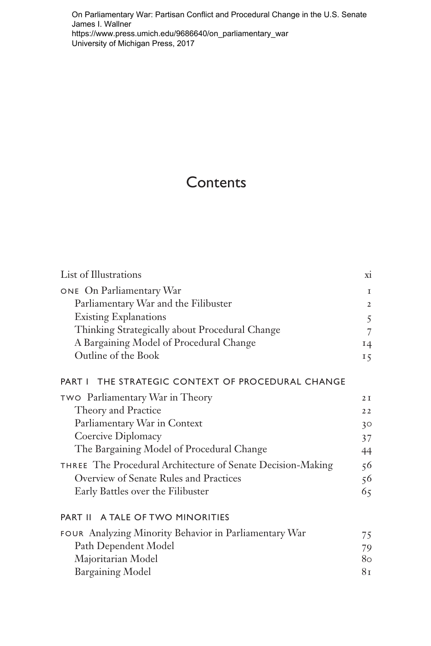On Parliamentary War: Partisan Conflict and Procedural Change in the U.S. Senate James I. Wallner https://www.press.umich.edu/9686640/on\_parliamentary\_war University of Michigan Press, 2017

## **Contents**

| List of Illustrations                                       | X1             |
|-------------------------------------------------------------|----------------|
| ONE On Parliamentary War                                    | $\mathbf I$    |
| Parliamentary War and the Filibuster                        | $\overline{2}$ |
| <b>Existing Explanations</b>                                | 5              |
| Thinking Strategically about Procedural Change              | 7              |
| A Bargaining Model of Procedural Change                     | 14             |
| Outline of the Book                                         | 15             |
| PART I THE STRATEGIC CONTEXT OF PROCEDURAL CHANGE           |                |
| <b>TWO</b> Parliamentary War in Theory                      | 2I             |
| Theory and Practice                                         | 22             |
| Parliamentary War in Context                                | 30             |
| Coercive Diplomacy                                          | 37             |
| The Bargaining Model of Procedural Change                   | 44             |
| THREE The Procedural Architecture of Senate Decision-Making | 56             |
| Overview of Senate Rules and Practices                      | 56             |
| Early Battles over the Filibuster                           | 65             |
| PART II A TALE OF TWO MINORITIES                            |                |
| FOUR Analyzing Minority Behavior in Parliamentary War       | 75             |
| Path Dependent Model                                        | 79             |
| Majoritarian Model                                          | 80.            |
| <b>Bargaining Model</b>                                     | 81             |